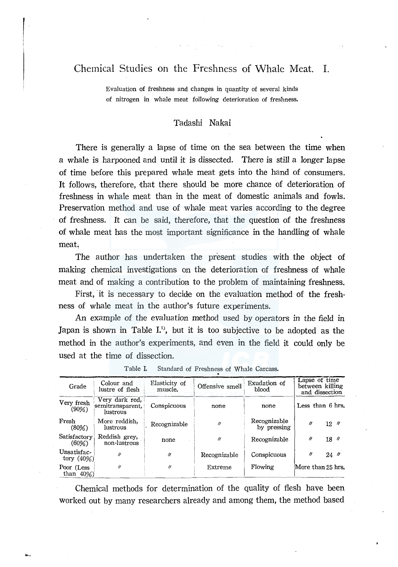# Chemical Studies on the Freshness of Whale Meat. I.

Evaluation of freshness and changes in quantity of several kinds of nitrogen in whale meat following deterioration of freshness.

## Tadashi Nakai

There is generally a lapse of time on the sea between the time when a whale is harpooned and until it is dissected. There is still a longer lapse of time before this prepared whale meat gets into the hand of consumers. It follows, therefore, that there should be more chance of deterioration of freshness in whale meat than in the meat of domestic animals and fowls. Preservation method and use of whale meat varies according to the degree of freshness. It can be said, therefore, that the question of the freshness of whale meat has the most important significance in the handling of whale meat.

The author has undertaken the present studies with the object of making chemical investigations on the deterioration of freshness of whale meat and of making a contribution to the problem of maintaining freshness.

First, it is necessary to decide on the evaluation method of the freshness of whale meat in the author's future experiments.

An example of the evaluation method used by operators in the field in Japan is shown in Table  $I^{(1)}$ , but it is too subjective to be adopted as the method in the author's experiments, and even in the field it could only be used at the time of dissection.

| Grade                        | Colour and<br>lustre of flesh                  | Elasticity of<br>muscle. | Offensive smell   | Exudation of<br>blood       | Lapse of time<br>between killing<br>and dissection |
|------------------------------|------------------------------------------------|--------------------------|-------------------|-----------------------------|----------------------------------------------------|
| Very fresh<br>(90%)          | Very dark red,<br>semitransparent,<br>lustrous | Conspicuous              | none              | none                        | Less than 6 hrs.                                   |
| Fresh<br>$(80\%)$            | More reddish.<br>lustrous                      | Recognizable             | $^{\prime\prime}$ | Recognizable<br>by pressing | $^{\prime\prime}$<br>$12.$ $\prime\prime$          |
| Satisfactory<br>$(60\%)$     | Reddish grey,<br>non-lustrous                  | none                     | "                 | Recognizable                | 11<br>18''                                         |
| Unsatisfac-<br>tory $(40\%)$ | $^{\prime\prime}$                              | $\theta$                 | Recognizable      | Conspicuous                 | "<br>$24$ $''$                                     |
| Poor (Less<br>than $40\%$ )  | 11                                             | 11                       | Extreme           | Flowing                     | More than 25 hrs.                                  |

Table I. Standard of Freshness of Whale Carcass. .

Chemical methods for determination of the quality of flesh have been worked out by many researchers already and among them, the method based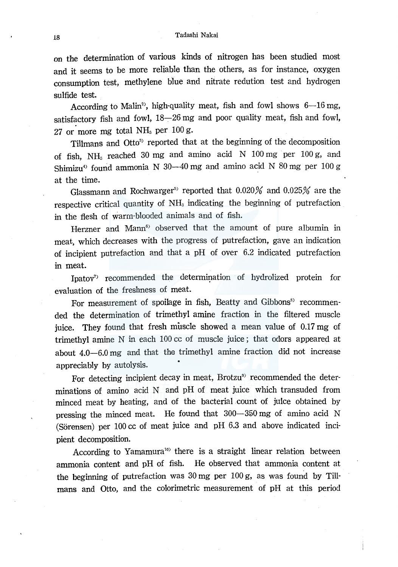## 18 Tadashi Nakai

on the determination of various kinds of nitrogen has been studied most and it seems to be more reliable than the others, as for instance, oxygen consumption test, methylene blue and nitrate redution test and hydrogen sulfide test.

According to Malin<sup>2</sup>, high-quality meat, fish and fowl shows  $6-16$  mg, satisfactory fish and fowl,  $18-26$  mg and poor quality meat, fish and fowl, 27 or more mg total NH<sub>3</sub> per  $100 g$ .

Tillmans and Otto<sup>3)</sup> reported that at the beginning of the decomposition of fish,  $NH<sub>3</sub>$  reached 30 mg and amino acid N 100 mg per 100 g, and Shimizu<sup>4)</sup> found ammonia N 30-40 mg and amino acid N 80 mg per 100 g at the time.

Glassmann and Rochwarger $^{\scriptscriptstyle 5)}$  reported that 0.020% and 0.025% are the respective critical quantity of NH<sub>3</sub> indicating the beginning of putrefaction in the flesh of warm-blooded animals and of fish.

Herzner and Mann<sup>6)</sup> observed that the amount of pure albumin in meat, which decreases with the progress of putrefaction, gave an indication of incipient putrefaction and that a pH of over 6.2 indicated putrefaction in meat.

Ipatov<sup>7</sup> recommended the determination of hydrolized protein for evaluation of the freshness of meat.

For measurement of spoilage in fish, Beatty and Gibbons<sup>8)</sup> recommended the determination of trimethyl amine fraction in the filtered muscle juice. They found that fresh muscle showed a mean value of 0.17 mg of trimethyl amine N in each 100 cc of muscle juice; that odors appeared at about 4.0-6.0 mg and that the trimethyl amine fraction did not increase appreciably by autolysis.

For detecting incipient decay in meat, Brotzu<sup>9)</sup> recommended the determinations of amino acid N and pH of meat juice which transuded from minced meat by heating, and of the bacterial count of juice obtained by pressing the minced meat. He found that 300-350 mg of amino acid N (Sorensen) per 100 cc of meat juice and pH 6.3 and above indicated incipient decomposition.

According to Yamamura<sup>10</sup> there is a straight linear relation between ammonia content and pH of fish. He observed that ammonia content at the beginning of putrefaction was 30 mg per 100 g, as was found by Tillmans and Otto, and the colorimetric measurement of pH at this period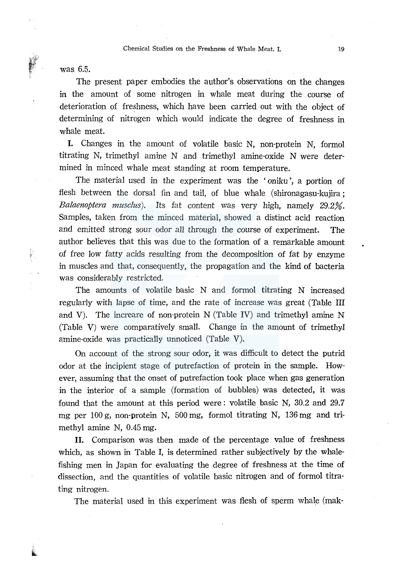was 6.5.

The present paper embodies the author's observations on the changes in the amount of some nitrogen in whale meat during the course of deterioration of freshness, which have been carried out with the object of determining of nitrogen which would indicate the degree of freshness in whale meat.

I. Changes in the amount of volatile basic N, non-protein N, formol titrating N, trimethyl amine N and trimethyl amine-oxide N were determined in minced whale meat standing at room temperature.

The material used in the experiment was the 'oniku', a portion of flesh between the dorsal fin and tail, of blue whale ( shironagasu-kujira ; *Balaenoptera musclus).* Its fat content was very high, namely 29.2%. Samples, taken from the minced material, showed a distinct acid reaction and emitted strong sour odor all through the course of experiment. The author believes that this was due to the formation of a remarkable amount of free low fatty acids resulting from the decomposition of fat by enzyme in muscles and that, consequently, the propagation and the kind of bacteria was considerably restricted.

The amounts of volatile basic N and formol titrating N increased regularly with lapse of time, and the rate of increase was great (Table III and V). The increare of non-protein N (Table IV) and trimethyl amine N (Table V) were comparatively small. Change in the amount of trimethyl amine-oxide was practically unnoticed (Table V).

On account of the strong sour odor, it was difficult to detect the putrid odor at the incipient stage of putrefaction of protein in the sample. However, assuming that the onset of putrefaction took place when gas generation in the interior of a sample (formation of bubbles) was detected, it was found that the amount at this period were: volatile basic N, 30.2 and 29.7 mg per 100 g, non-protein N, 500 mg, formol titrating N, 136 mg and trimethyl amine N, 0.45 mg.

II. Comparison was then made of the percentage value of freshness which, as shown in Table I, is determined rather subjectively by the whalefishing men in Japan for evaluating the degree of freshness at the time of dissection, and the quantities of volatile basic nitrogen and of formol titrating nitrogen.

The material used in this experiment was flesh of sperm whale (mak-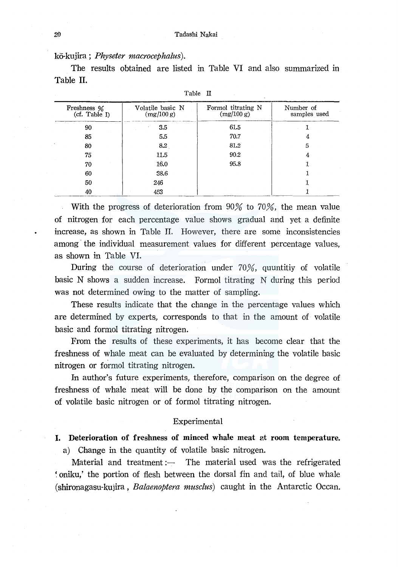kO-kujira; *Physeter macrocephalus).* 

The results obtained are listed in Table VI and also summarized in Table II.

| Freshness %<br>(cf. Table I) | Volatile basic N<br>(mg/100 g) | Formol titrating N<br>(mg/100 g) | Number of<br>samples used |
|------------------------------|--------------------------------|----------------------------------|---------------------------|
| 90                           | 3.5                            | 61.5                             |                           |
| 85                           | 5.5                            | 70.7                             | 4                         |
| 80                           | 8.2                            | 81.2                             | 5                         |
| 75                           | 11.5                           | 90.2                             |                           |
| 70                           | 16.0                           | 95.8                             |                           |
| 60                           | 38.6                           |                                  |                           |
| 50                           | 246                            |                                  |                           |
| 40                           | 453                            |                                  |                           |

Table II

With the progress of deterioration from 90% to 70%, the mean value of nitrogen for each percentage value shows gradual and yet a definite increase, as shown in Table II. However, there are some inconsistencies among the individual measurement values for different percentage values, as shown in Table VI.

During the course of deterioration under 70%, quuntitiy of volatile basic N shows a sudden increase. Formol titrating N during this period was not determined owing to the matter of sampling.

These results indicate that the change in the percentage values which are determined by experts, corresponds to that in the amount of volatile basic and formol titrating nitrogen.

From the results of these experiments, it has become clear that the freshness of whale meat can be evaluated by determining the volatile basic nitrogen or formol titrating nitrogen.

In author's future experiments, therefore, comparison on the degree of freshness of whale meat will be done by the comparison on the amount of volatile basic nitrogen or of formol titrating nitrogen.

## Experimental

# I. Deterioration of freshness of minced whale meat at room temperature. a) Change in the quantity of volatile basic nitrogen.

Material and treatment: $\frac{1}{\sqrt{1-\frac{1}{\pi}}}$  The material used was the refrigerated '. oniku,' the portion of flesh between the dorsal fin and tail, of blue whale (shironagasu-kujira, *Balaenoptera musclus)* caught in the Antarctic Ocean.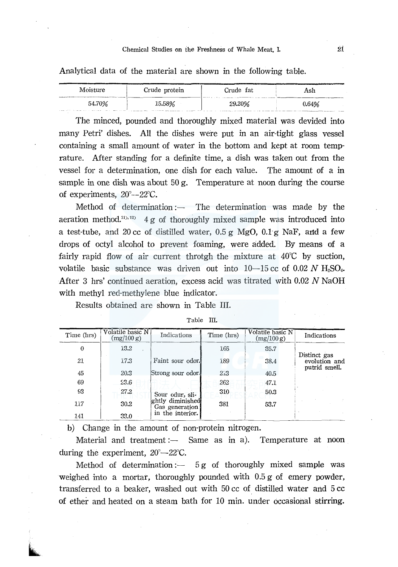## Chemical Studies on the Freshness of Whale Meat. I. 21

Analytical data of the material are shown in the following table.

| Moisture                                                                                                                     | Crude protein                                                                                            | and all the second complete the two completes and<br>Crude fat | Ash   |
|------------------------------------------------------------------------------------------------------------------------------|----------------------------------------------------------------------------------------------------------|----------------------------------------------------------------|-------|
| 54.70%<br>the president of the con-<br>the company's company of the company's company's company's company's company's<br>$-$ | 15.58%<br>the company of the control of the con-<br>continued to the company and the company of the con- | 29.20%                                                         | 0.64% |

The minced, pounded and thoroughly mixed material was devided into many Petri' dishes. All the dishes were put in an air-tight glass vessel containing a small amount of water in the bottom and kept at room temprature. After standing for a definite time, a dish was taken out from the vessel for a determination, one dish for each value. The amount of a in sample in one dish was about 50 g. Temperature at noon during the course of experiments, 20"--22"C.

Method of determination: $\frac{1}{\sqrt{1-\frac{1}{\pi}}}$  The determination was made by the aeration method.<sup>11), 12)</sup>  $4g$  of thoroughly mixed sample was introduced into a test-tube, and 20 cc of distilled water,  $0.5 g$  MgO,  $0.1 g$  NaF, and a few drops of octyl alcohol to prevent foaming, were added. By means of a fairly rapid flow of air current throtgh the mixture at 40"C by suction, volatile basic substance was driven out into  $10-15$  cc of 0.02 N H<sub>2</sub>SO<sub>4</sub>. After 3 hrs' continued aeration, excess acid was titrated with 0.02 N NaOH with methyl red-methylene blue indicator.

Results obtained are shown in Table III.

| Time (hrs)                  | Volatile basic N<br>(mg/100 g) | Indications                        | Time (hrs) | Volatile basic N<br>(mg/100 g) | Indications                                    |
|-----------------------------|--------------------------------|------------------------------------|------------|--------------------------------|------------------------------------------------|
| $\Omega$                    | 13.2                           |                                    | 165        | 35.7                           |                                                |
| 21                          | 17.3                           | Faint sour odor.                   | 189        | 38.4                           | Distinct gas<br>evolution and<br>putrid smell. |
| 45                          | 20.3                           | Strong sour odor.                  | 2.3        | 40.5                           |                                                |
| 69                          | 23.6                           |                                    | 262        | 47.1                           |                                                |
| 93                          | 27.2                           | Sour odur, sli-                    | 310        | 50.3                           |                                                |
| 117                         | 30.2                           | ghtly diminished<br>Gas generation | 381        | 53.7                           |                                                |
| 141                         | 33.0                           | in the interior.                   |            |                                |                                                |
| $\sim$ $\sim$ $\sim$<br>--- |                                |                                    |            |                                |                                                |

Table III.

b) Change in the amount of non-protein nitrogen.

Material and treatment: $\frac{1}{1}$  Same as in a). Temperature at noon during the experiment,  $20^{\circ} - 22^{\circ}$ C.

Method of determination :--  $5g$  of thoroughly mixed sample was weighed into a mortar, thoroughly pounded with 0.5 g of emery powder, transferred to a beaker, washed out with 50 cc of distilled water and 5 cc of ether and heated on a steam bath for 10 min. under occasional stirring.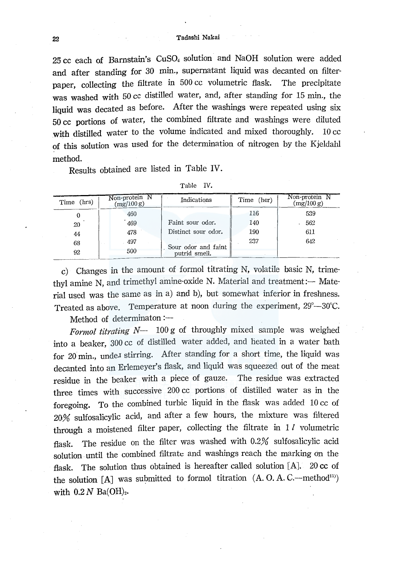25 cc each of Barnstain's CuS04 solution and NaOH solution were added and after standing for 30 min., supernatant liquid was decanted on filterpaper, collecting the filtrate in 500 cc volumetric flask. The precipitate was washed with 50 cc distilled water, and, after standing for 15 min., the liquid was decated as before. After the washings were repeated using six 50 cc portions of water, the combined filtrate and washings were diluted with distilled water to the volume indicated and mixed thoroughly. 10 cc of this solution was used for the determination of nitrogen by the Kjeldahl method.

Results obtained are listed in Table IV.

| (hrs)<br>Time | Non-protein N<br>(mg/100 g) | Indications                          | Time (her) | Non-protein N<br>(mg/100 g) |
|---------------|-----------------------------|--------------------------------------|------------|-----------------------------|
| 0             | 460                         |                                      | 116        | 539                         |
| 20            | 469                         | Faint sour odor.                     | 140        | 562                         |
| 44            | 478                         | Distinct sour odor.                  | 190        | 611                         |
| 68            | 497                         |                                      | 237        | 642                         |
| 92            | 500                         | Sour odor and faint<br>putrid smell. |            |                             |

| Table | īV |
|-------|----|
|       |    |

c) Changes in the amount of formol titrating N, volatile basic N, trimethyl amine N, and trimethyl amine-oxide N. Material and treatment:- Material used was the same as in a) and b), but somewhat inferior in freshness. Treated as above. Temperature at noon during the experiment,  $29^{\circ}$ -30°C.

Method of determinaton :-

*Formal titrating N-* 100 g of throughly mixed sample was weighed into a beaker, 300 cc of distilled water added, and heated in a water bath for 20 min., under stirring. After standing for a short time, the liquid was decanted into an Erlemeyer's flask, and liquid was squeezed out of the meat residue in the beaker with a piece of gauze. The residue was extracted three times with successive 200 cc portions of distilled water as in the foregoing. To the combined turbic liquid in the flask was added 10 cc of 20% sulfosalicylic acid, and after a few hours, the mixture was filtered through a moistened filter paper, collecting the filtrate in  $1 \, l$  volumetric flask. The residue on the filter was washed with 0.2% sulfosalicylic acid solution until the combined filtrate and washings reach the marking on the flask. The solution thus obtained is hereafter called solution [A]. 20 cc of the solution  $[A]$  was submitted to formol titration  $(A. O. A. C. -method<sup>13)</sup>)$ with  $0.2 N$  Ba(OH)<sub>2</sub>.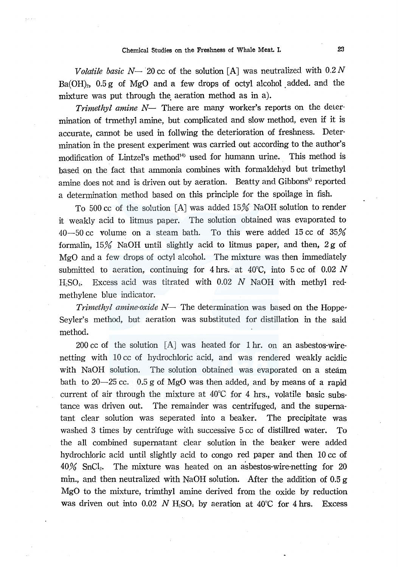*Volatile basic N*-20 cc of the solution [A] was neutralized with  $0.2 N$  $Ba(OH)_{2}$ , 0.5 g of MgO and a few drops of octyl alcohol added. and the mixture was put through the aeration method as in a).

*Trimethyl amine*  $N-$  There are many worker's reports on the determination of trmethyl amine, but complicated and slow method, even if it is accurate, cannot be used in follwing the deterioration of freshness. Determination in the present experiment was carried out according to the author's modification of Lintzel's method<sup>14)</sup> used for humann urine. This method is based on the fact that ammonia combines with formaldehyd but trimethyl amine does not and is driven out by aeration. Beatty and Gibbons<sup>3</sup> reported a determination method based on this principle for the spoilage in fish.

To 500 cc of the solution [A] was added 15% NaOH solution to render it weakly acid to litmus paper. The solution obtained was evaporated to 40-50 cc volume on a steam bath. To this were added 15 cc of 35% formalin,  $15\%$  NaOH until slightly acid to litmus paper, and then,  $2g$  of MgO and a few drops of octyl alcohol. The mixture was then immediately submitted to aeration, continuing for 4 hrs. at  $40^{\circ}$ C, into 5 cc of 0.02 N  $HSO<sub>4</sub>$ . Excess acid was titrated with 0.02 N NaOH with methyl redmethylene blue indicator.

*Trimethyl amine-oxide N*— The determination was based on the Hoppe-Seyler's method, but aeration was substituted for distillation in the said method.

200 cc of the solution  $[A]$  was heated for 1 hr. on an asbestos-wirenetting with 10 cc of hydrochloric acid, and was rendered weakly acidic with NaOH solution. The solution obtained was evaporated on a steam bath to  $20-25$  cc. 0.5 g of MgO was then added, and by means of a rapid current of air through the mixture at 40°C for 4 hrs., volatile basic substance was driven out. The remainder was centrifuged, and the supernatant clear solution was seperated into a beaker. The precipitate was washed 3 times by centrifuge with successive 5 cc of distillred water. To the all combined supernatant clear solution in the beaker were added hydrochloric acid until slightly acid to congo red paper and then 10 cc of  $40\%$  SnCl<sub>2</sub>. The mixture was heated on an asbestos-wire-netting for 20 min., and then neutralized with NaOH solution. After the addition of  $0.5 g$ MgO to the mixture, trimthyl amine derived from the oxide by reduction was driven out into 0.02 *N* H<sub>2</sub>SO<sub>4</sub> by aeration at 40<sup>°</sup>C for 4 hrs. Excess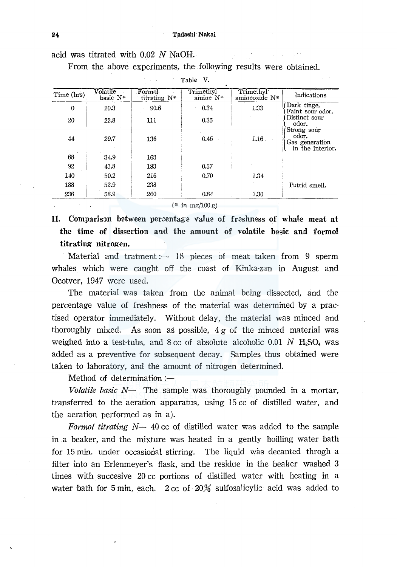acid was titrated with 0.02 N NaOH.

From the above experiments, the following results were obtained.

|              |                      |                        | Table V.                 |                                         |                                             |
|--------------|----------------------|------------------------|--------------------------|-----------------------------------------|---------------------------------------------|
| Time (hrs)   | Volatile<br>basic N* | Formol<br>titrating N* | Trimethyl<br>amine $N^*$ | Trimethyl <sup>-</sup><br>amineoxide N* | Indications                                 |
| $\mathbf{0}$ | 20.3                 | 90.6                   | 0.34                     | 1.33                                    | Dark tinge.<br>Faint sour odor.             |
| 20           | 22.8                 | 111                    | 0.35                     |                                         | Distinct sour<br>odor.<br>Strong sour       |
| 44           | 29.7                 | 136                    | 0.46                     | 1.16                                    | odor.<br>Gas generation<br>in the interior. |
| 68           | 34.9                 | 163                    |                          |                                         |                                             |
| 92           | 41.8                 | 183                    | 0.57                     |                                         |                                             |
| 140          | 50.2                 | 216                    | 0.70                     | 1.34                                    |                                             |
| 188          | 52.9                 | 238                    |                          |                                         | Putrid smell.                               |
| 236          | 58.9                 | 260                    | 0.84                     | 1.30                                    |                                             |

 $(*$  in  $mg/100 g)$ 

II. Comparison between percentage value of freshness of whale meat at the time of dissection and the amount of volatile basic and formol titrating nitrogen.

Material and tratment  $-$  18 pieces of meat taken from 9 sperm whales which were caught off the coast of Kinka-zan in August and Ocotver, 1947 were used.

The material was taken from the animal being dissected, and the percentage value of freshness of the material ·was determined by a practised operator immediately. Without delay, the material was minced and thoroughly mixed. As soon as possible,  $4g$  of the minced material was weighed into a test-tubs, and  $8 \text{ cc}$  of absolute alcoholic 0.01 *N*  $H<sub>2</sub>SO<sub>4</sub>$  was added as a preventive for subsequent decay. Samples thus obtained were taken to laboratory, and the amount of nitrogen determined.

Method of determination: $-$ 

*Volatile basic N-* The sample was thoroughly pounded in a mortar, transferred to the aeration apparatus, using 15 cc of distilled water, and the aeration performed as in a).

*Formal titrating N-* 40 cc of distilled water was added to the sample in a beaker, and the mixture was heated in a gently boilling water bath for 15 min. under occasional stirring. The liquid was decanted throgh a filter into an Erlenmeyer's flask, and the residue in the beaker washed 3 times with succesive 20 cc portions of distilled water with heating in a water bath for 5 min, each. 2 cc of 20% sulfosalicylic acid was added to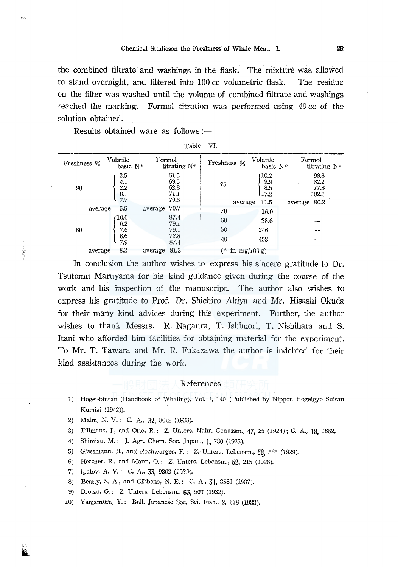the combined filtrate and washings in the flask. The mixture was allowed to stand overnight, and filtered into 100 cc volumetric flask. The residue on the filter was washed until the volume of combined filtrate and washings reached the marking. Formol titration was performed using 40 cc of the solution obtained.

Results obtained ware as follows:-

| VI.<br>Table |
|--------------|
|--------------|

| Freshness % | Volatile<br>basic $N^*$                | Formol<br>titrating $N^*$            | Freshness %   | Volatile<br>basic N*                        | Formol<br>titrating N*                           |
|-------------|----------------------------------------|--------------------------------------|---------------|---------------------------------------------|--------------------------------------------------|
| 90          | 3.5<br>4.1<br>2.2<br>$\frac{8.1}{7.7}$ | 61.5<br>69.5<br>62.8<br>71.1<br>79.5 | 75<br>average | (10.2)<br>9.9<br>$\frac{8.5}{17.2}$<br>11.5 | 98.8<br>82.2<br>77.8<br>102.1<br>90.2<br>average |
|             | 5.5<br>average                         | average 70.7                         | 70            | 16.0                                        |                                                  |
|             | 10.6<br>6.2                            | 87.4<br>79.1                         | 60            | 38.6                                        |                                                  |
| 80          | 7.6                                    | 79.1                                 | 50            | 246                                         |                                                  |
|             | 8.6<br>7.9                             | 72.8<br>87.4                         | 40            | 453                                         |                                                  |
|             | 8.2<br>average                         | 81.2<br>average                      | (*            | in $mg/100 g$ )                             |                                                  |

In conclusion the author wishes to express his sincere gratitude to Dr. Tsutomu Maruyama for his kind guidance given during the course of the work and his inspection of the manuscript. The author also wishes to express his gratitude to Prof. Dr. Shichiro Akiya and Mr. Hisashi Okuda for their many kind advices during this experiment. Further, the author wishes to thank Messrs. R. Nagaura, T. Ishimori, T. Nishihara and S. Itani who afforded him facilities for obtaining material for the experiment. To Mr. T. Tawara and Mr. R. Fukazawa the author is indebted for their kind assistances during the work.

## References

- 1) Hogei-binran (Handbook of Whaling), Vol. l, 140 (Published by Nippon Hogeigyo Suisan Kumiai (1942)).
- 2) Malin, N. V.: C. A., 32, 8612 (1938).
- 3) Tillmans, J., and Otto, R.: Z. Unters. Nahr. Genussm., 47, *25* (1924); C. A., 18, 1862.
- 4) Shimizu, M.: J. Agr. Chem. Soc. Japan., 1, 730 (1925).
- 5) Glassmann, B., and Rochwarger, F.: Z. Unters. Lebensm., 58, 585 (1929).
- 6) Herzner, R., and Mann, 0. : Z. Unters. Lebensm., 52, 215 (1926).
- 7) Ipatov, A. V.: C. A., 33, *9202* (1939).

ii. ..

ğ,

- 8) Beatty, S. A., and Gibbons, N. E.: C. A., 31, 3581 (1937).
- 9) Brotzu, G. : Z. Unters. Lebensm., 63, 503 (1932).
- 10) Yamamura, Y.: BuII. Japanese Soc. Sci. Fish., 2, 118 (1933).